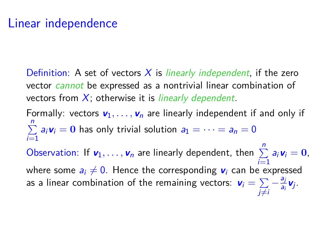Definition: A set of vectors  $X$  is *linearly independent*, if the zero vector cannot be expressed as a nontrivial linear combination of vectors from  $X$ ; otherwise it is *linearly dependent*.

Formally: vectors  $v_1, \ldots, v_n$  are linearly independent if and only if  $\sum_{i=1}^{n} a_i v_i = 0$  has only trivial solution  $a_1 = \cdots = a_n = 0$ *i*=1<br>Observation: If  $v_1, ..., v_n$  are linearly dependent, then  $\sum_{i=1}^n a_i v_i = 0$ , where some  $a_i \neq 0$ . Hence the corresponding  $v_i$  can be expressed as a linear combination of the remaining vectors:  $\textbf{v}_i = \sum$  $-\frac{a}{a}$  $\frac{dj}{a_i}$ **V**j

j≠i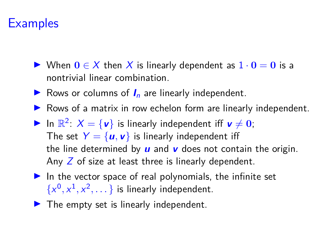# **Examples**

- $\triangleright$  When **0** ∈ X then X is linearly dependent as  $1 \cdot 0 = 0$  is a nontrivial linear combination.
- $\triangleright$  Rows or columns of  $I_n$  are linearly independent.
- $\triangleright$  Rows of a matrix in row echelon form are linearly independent.
- In  $\mathbb{R}^2$ :  $X = \{v\}$  is linearly independent iff  $v \neq 0$ ; The set  $Y = \{u, v\}$  is linearly independent iff the line determined by **u** and **v** does not contain the origin. Any  $Z$  of size at least three is linearly dependent.
- $\blacktriangleright$  In the vector space of real polynomials, the infinite set  $\{x^0, x^1, x^2, \dots\}$  is linearly independent.
- $\blacktriangleright$  The empty set is linearly independent.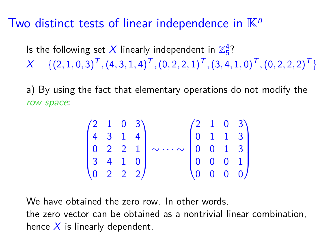#### Two distinct tests of linear independence in  $\mathbb{K}^n$

Is the following set  $X$  linearly independent in  $\mathbb{Z}_5^4$ ?  $X = \{ (2, 1, 0, 3)^T, (4, 3, 1, 4)^T, (0, 2, 2, 1)^T, (3, 4, 1, 0)^T, (0, 2, 2, 2)^T \}$ 

a) By using the fact that elementary operations do not modify the row space:

|  |  | $(2 \t1 \t0 \t3)$                             |                                                                                                            |  | $(2 \t1 \t0 \t3)$                             |
|--|--|-----------------------------------------------|------------------------------------------------------------------------------------------------------------|--|-----------------------------------------------|
|  |  | $\begin{bmatrix} 4 & 3 & 1 & 4 \end{bmatrix}$ |                                                                                                            |  | $\begin{bmatrix} 0 & 1 & 1 & 3 \end{bmatrix}$ |
|  |  |                                               | $\begin{bmatrix} 0 & 2 & 2 & 1 \end{bmatrix} \sim \cdots \sim \begin{bmatrix} 0 & 0 & 1 & 3 \end{bmatrix}$ |  |                                               |
|  |  | 3410                                          |                                                                                                            |  | $\begin{bmatrix} 0 & 0 & 0 & 1 \end{bmatrix}$ |
|  |  | $\begin{pmatrix} 0 & 2 & 2 & 2 \end{pmatrix}$ |                                                                                                            |  | $\begin{pmatrix} 0 & 0 & 0 & 0 \end{pmatrix}$ |

We have obtained the zero row. In other words,

the zero vector can be obtained as a nontrivial linear combination, hence  $X$  is linearly dependent.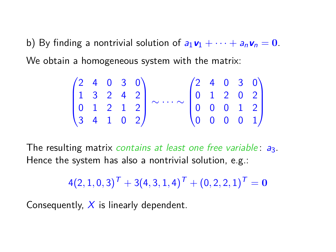b) By finding a nontrivial solution of  $a_1v_1 + \cdots + a_nv_n = 0$ . We obtain a homogeneous system with the matrix:

$$
\begin{pmatrix} 2 & 4 & 0 & 3 & 0 \\ 1 & 3 & 2 & 4 & 2 \\ 0 & 1 & 2 & 1 & 2 \\ 3 & 4 & 1 & 0 & 2 \end{pmatrix} \sim \cdots \sim \begin{pmatrix} 2 & 4 & 0 & 3 & 0 \\ 0 & 1 & 2 & 0 & 2 \\ 0 & 0 & 0 & 1 & 2 \\ 0 & 0 & 0 & 0 & 1 \end{pmatrix}
$$

The resulting matrix contains at least one free variable:  $a_3$ . Hence the system has also a nontrivial solution, e.g.:

 $4(2, 1, 0, 3)^T + 3(4, 3, 1, 4)^T + (0, 2, 2, 1)^T = 0$ 

Consequently,  $X$  is linearly dependent.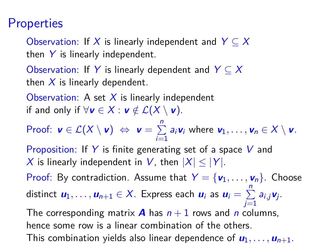### **Properties**

Observation: If X is linearly independent and  $Y \subseteq X$ then  $Y$  is linearly independent.

Observation: If Y is linearly dependent and  $Y \subseteq X$ then  $X$  is linearly dependent.

Observation: A set  $X$  is linearly independent if and only if  $\forall v \in X : v \notin \mathcal{L}(X \setminus v)$ .

Proof:  $\mathbf{v} \in \mathcal{L}(X \setminus \mathbf{v}) \Leftrightarrow \mathbf{v} = \sum^{n}$  $\sum_{i=1}$   $a_i$ **v**<sub>i</sub> where **v**<sub>1</sub>, ..., **v**<sub>n</sub>  $\in X \setminus V$ .

Proposition: If Y is finite generating set of a space V and X is linearly independent in V, then  $|X| \leq |Y|$ .

Proof: By contradiction. Assume that  $Y = \{v_1, \ldots, v_n\}$ . Choose distinct  $u_1, \ldots, u_{n+1} \in X$ . Express each  $u_i$  as  $u_i = \sum^{n}$  $\sum_{j=1}$   $a_{i,j}$ **v**<sub>j</sub>.

The corresponding matrix **A** has  $n + 1$  rows and n columns, hence some row is a linear combination of the others. This combination yields also linear dependence of  $u_1, \ldots, u_{n+1}$ .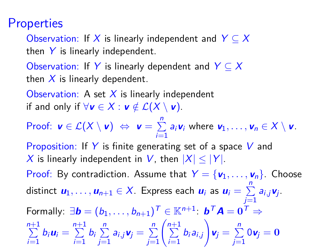### **Properties**

Observation: If X is linearly independent and  $Y \subseteq X$ then  $Y$  is linearly independent.

Observation: If Y is linearly dependent and  $Y \subseteq X$ then  $X$  is linearly dependent.

Observation: A set  $X$  is linearly independent if and only if  $\forall v \in X : v \notin \mathcal{L}(X \setminus v)$ .

Proof:  $\mathbf{v} \in \mathcal{L}(X \setminus \mathbf{v}) \Leftrightarrow \mathbf{v} = \sum^{n}$  $\sum_{i=1}$   $a_i$ **v**<sub>i</sub> where **v**<sub>1</sub>, ..., **v**<sub>n</sub>  $\in X \setminus V$ .

Proposition: If Y is finite generating set of a space V and X is linearly independent in V, then  $|X| \leq |Y|$ .

Proof: By contradiction. Assume that  $Y = \{v_1, \ldots, v_n\}$ . Choose distinct  $u_1, \ldots, u_{n+1} \in X$ . Express each  $u_i$  as  $u_i = \sum_{i=1}^{n} u_i$  $\sum_{j=1}$   $a_{i,j}$ **v**<sub>j</sub>.  $\mathsf{Formally: }~\exists \boldsymbol{b}=(b_1,\ldots,b_{n+1})^\mathcal{T}\in \mathbb{K}^{n+1}\colon \boldsymbol{b}^\mathcal{T}\boldsymbol{A}=\boldsymbol{0}^\mathcal{T}\Rightarrow$  $\sum_{n=1}^{n+1}$  $\sum_{i=1}^{n+1} b_i \mathbf{u}_i = \sum_{i=1}^{n+1}$  $\sum_{i=1}^{n+1} b_i \sum_{j=1}^{n}$  $\sum_{j=1}^n a_{i,j} \mathbf{v}_j = \sum_{j=1}^n$  $j=1$  $\left(\begin{array}{c} n+1 \\ \sum \end{array}\right)$  $\sum_{i=1} b_i a_{i,j}$  $\setminus$  $\mathbf{v}_j = \sum_{i=1}^{n}$  $\sum\limits_{j=1}^{\infty}0\mathbf{v}_j=\mathbf{0}$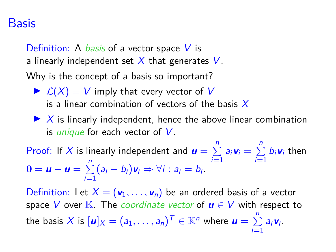#### Basis

Definition: A *basis* of a vector space  $V$  is a linearly independent set  $X$  that generates  $V$ .

Why is the concept of a basis so important?

- $\blacktriangleright$   $\mathcal{L}(X) = V$  imply that every vector of V is a linear combination of vectors of the basis  $X$
- $\blacktriangleright$  X is linearly independent, hence the above linear combination is *unique* for each vector of  $V$ .

Proof: If X is linearly independent and  $\bm{u} = \sum^{n}$  $\sum_{i=1}^n a_i \mathbf{v}_i = \sum_{i=1}^n$  $\sum\limits_{i=1}^{\infty} b_i \mathbf{v}_i$  then  $\mathbf{0} = \mathbf{u} - \mathbf{u} = \sum_{n=1}^{n}$  $\sum_{i=1}$  $(a_i - b_i) \mathbf{v}_i \Rightarrow \forall i : a_i = b_i.$ 

Definition: Let  $X = (\mathbf{v}_1, \dots, \mathbf{v}_n)$  be an ordered basis of a vector space V over K. The *coordinate vector* of  $u \in V$  with respect to the basis X is  $[\textbf{\textit{u}}]_X = (a_1, \ldots, a_n)^T \in \mathbb{K}^n$  where  $\textbf{\textit{u}} = \sum^n$  $\sum_{i=1}$   $a_i$ **v**<sub>i</sub>.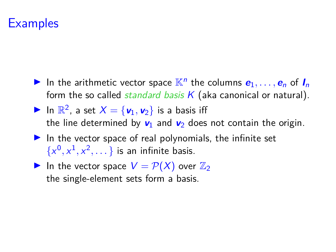### **Examples**

- In the arithmetic vector space  $\mathbb{K}^n$  the columns  $e_1, \ldots, e_n$  of  $I_n$ form the so called *standard basis*  $K$  (aka canonical or natural).
- $\blacktriangleright$  In  $\mathbb{R}^2$ , a set  $X = {\mathbf{v}_1, \mathbf{v}_2}$  is a basis iff the line determined by  $v_1$  and  $v_2$  does not contain the origin.
- $\blacktriangleright$  In the vector space of real polynomials, the infinite set  $\{x^0, x^1, x^2, \dots\}$  is an infinite basis.
- In the vector space  $V = \mathcal{P}(X)$  over  $\mathbb{Z}_2$ the single-element sets form a basis.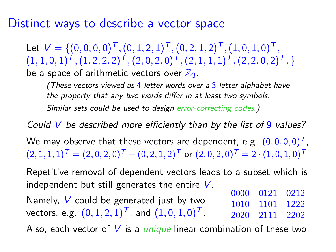#### Distinct ways to describe a vector space

Let  $V = \{(0,0,0,0)^T, (0,1,2,1)^T, (0,2,1,2)^T, (1,0,1,0)^T,$  $(1,1,0,1)^T$ ,  $(1,2,2,2)^T$ ,  $(2,0,2,0)^T$ ,  $(2,1,1,1)^T$ ,  $(2,2,0,2)^T$ , } be a space of arithmetic vectors over  $\mathbb{Z}_3$ .

(These vectors viewed as  $4$ -letter words over a  $3$ -letter alphabet have the property that any two words differ in at least two symbols. Similar sets could be used to design error-correcting codes.)

Could V be described more efficiently than by the list of 9 values?

We may observe that these vectors are dependent, e.g.  $(0,0,0,0)^T$ ,  $(2,1,1,1)^T = (2,0,2,0)^T + (0,2,1,2)^T$  or  $(2,0,2,0)^T = 2 \cdot (1,0,1,0)^T$ .

Repetitive removal of dependent vectors leads to a subset which is independent but still generates the entire  $V$ .

Namely,  $V$  could be generated just by two vectors, e.g.  $(0,1,2,1)^{\text{T}}$ , and  $(1,0,1,0)^{\text{T}}$ . 0000 0121 0212 1010 1101 1222 2020 2111 2202

Also, each vector of  $V$  is a *unique* linear combination of these two!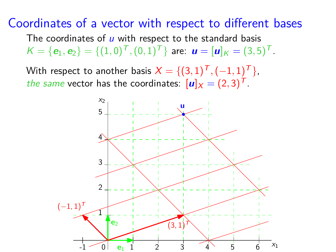#### Coordinates of a vector with respect to different bases

The coordinates of  *with respect to the standard basis*  $K = {\bf e}_1, {\bf e}_2$   $= \{ (1, 0)^T, (0, 1)^T \}$  are:  ${\bf u} = [{\bf u}]_K = (3, 5)^T$ .

With respect to another basis  $X = \{(3,1)^{\textsf{T}}, (-1,1)^{\textsf{T}}\}$  , the same vector has the coordinates:  $[u]_X = (2, 3)^T$ .

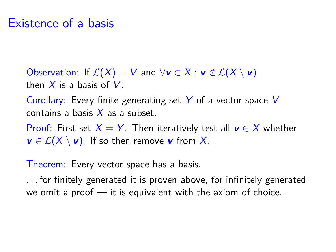#### Existence of a basis

Observation: If  $\mathcal{L}(X) = V$  and  $\forall v \in X : v \notin \mathcal{L}(X \setminus v)$ then  $X$  is a basis of  $V$ .

Corollary: Every finite generating set  $Y$  of a vector space V contains a basis  $X$  as a subset.

Proof: First set  $X = Y$ . Then iteratively test all  $v \in X$  whether  $v \in \mathcal{L}(X \setminus v)$ . If so then remove v from X.

Theorem: Every vector space has a basis.

. . . for finitely generated it is proven above, for infinitely generated we omit a proof — it is equivalent with the axiom of choice.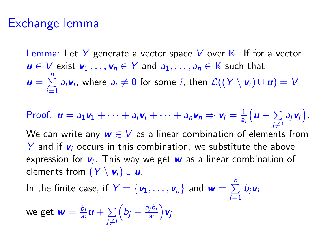#### Exchange lemma

Lemma: Let Y generate a vector space V over  $K$ . If for a vector *u* ∈ *V* exist  $\mathbf{v}_1$ ...,  $\mathbf{v}_n$  ∈ *Y* and  $a_1$ ,...,  $a_n$  ∈ **K** such that  $\mathbf{u} = \sum_{n=1}^{n}$  $\sum_{i=1}$  a<sub>i</sub>**v**<sub>i</sub>, where a<sub>i</sub> ≠ 0 for some *i*, then  $\mathcal{L}((Y \setminus \mathbf{v}_i) \cup \mathbf{u}) = V$ 

Proof: 
$$
\mathbf{u} = a_1 \mathbf{v}_1 + \cdots + a_i \mathbf{v}_i + \cdots + a_n \mathbf{v}_n \Rightarrow \mathbf{v}_i = \frac{1}{a_i} \Big( \mathbf{u} - \sum_{j \neq i} a_j \mathbf{v}_j \Big).
$$

We can write any  $w \in V$  as a linear combination of elements from Y and if  $v_i$  occurs in this combination, we substitute the above expression for **v**<sup>i</sup> . This way we get **w** as a linear combination of elements from  $(Y \setminus v_i) \cup u$ .

In the finite case, if  $Y = {\bf{v}_1, ..., v_n}$  and  $\mathbf{w} = \sum^n$  $\sum\limits_{j=1}^{\mathcal{D}}b_j\textbf{v}_j$ 

we get  $\mathbf{w} = \frac{b_i}{2}$  $\frac{b_i}{a_i}$ **u** +  $\sum_{i \neq i}$ j≠i  $\left(b_j-\frac{\mathsf{a}_j\mathsf{b}_j}{\mathsf{a}_i}\right)$ ai **v**j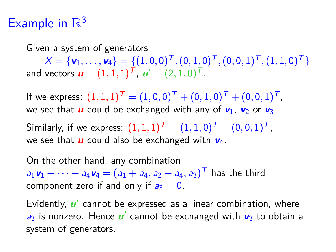# Example in  $\mathbb{R}^3$

Given a system of generators  $X = \{v_1, \ldots, v_4\} = \{(1, 0, 0)^T, (0, 1, 0)^T, (0, 0, 1)^T, (1, 1, 0)^T\}$ and vectors  $\bm{u} = (1,1,1)^{\mathsf{T}}$ ,  $\bm{u}' = (2,1,0)^{\mathsf{T}}$ .

If we express:  $(1,1,1)^{\mathsf{T}} = (1,0,0)^{\mathsf{T}} + (0,1,0)^{\mathsf{T}} + (0,0,1)^{\mathsf{T}}$  , we see that **u** could be exchanged with any of  $v_1$ ,  $v_2$  or  $v_3$ .

Similarly, if we express:  $(1,1,1)^T = (1,1,0)^T + (0,0,1)^T$ , we see that **u** could also be exchanged with **v**4.

On the other hand, any combination  $a_1$ **v**<sub>1</sub> +  $\cdots$  +  $a_4$ **v**<sub>4</sub> =  $(a_1 + a_4, a_2 + a_4, a_3)^T$  has the third component zero if and only if  $a_3 = 0$ .

Evidently, *u*' cannot be expressed as a linear combination, where  $a_3$  is nonzero. Hence  $u'$  cannot be exchanged with  $v_3$  to obtain a system of generators.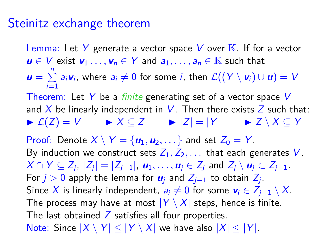#### Steinitz exchange theorem

Lemma: Let Y generate a vector space V over  $\mathbb{K}$ . If for a vector *u* ∈ *V* exist  $\mathbf{v}_1$ ...,  $\mathbf{v}_n$  ∈ Y and  $a_1$ ,...,  $a_n$  ∈ K such that  $\mathbf{u} = \sum_{n=1}^{n}$  $\sum_{i=1}$  a<sub>i</sub>**v**<sub>i</sub>, where a<sub>i</sub> ≠ 0 for some *i*, then  $\mathcal{L}((Y \setminus \mathbf{v}_i) \cup \mathbf{u}) = V$ Theorem: Let Y be a *finite* generating set of a vector space V and X be linearly independent in  $V$ . Then there exists Z such that:  $\triangleright$   $\mathcal{L}(Z) = V$   $\triangleright$   $X \subset Z$   $\triangleright$   $|Z| = |Y|$   $\triangleright$   $Z \setminus X \subset Y$ Proof: Denote  $X \setminus Y = \{u_1, u_2, \dots\}$  and set  $Z_0 = Y$ . By induction we construct sets  $Z_1, Z_2, \ldots$  that each generates V,  $X \cap Y \subseteq Z_j$ ,  $|Z_j| = |Z_{j-1}|$ ,  $u_1, \ldots, u_j \in Z_j$  and  $Z_j \setminus u_j \subset Z_{j-1}$ . For  $j > 0$  apply the lemma for  $\boldsymbol{u}_j$  and  $Z_{j-1}$  to obtain  $Z_j$ . Since X is linearly independent,  $a_i \neq 0$  for some  $v_i \in Z_{i-1} \setminus X$ . The process may have at most  $|Y \setminus X|$  steps, hence is finite. The last obtained  $Z$  satisfies all four properties. Note: Since  $|X \setminus Y| < |Y \setminus X|$  we have also  $|X| < |Y|$ .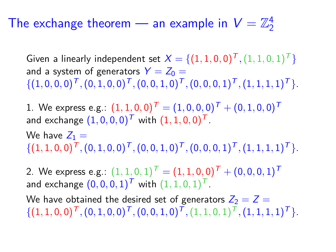#### The exchange theorem — an example in  $V=\mathbb{Z}_2^4$ 2

Given a linearly independent set  $X = \{(1,1,0,0)^T,(1,1,0,1)^T\}$ and a system of generators  $Y = Z_0 =$  $\{(1,0,0,0)^T, (0,1,0,0)^T, (0,0,1,0)^T, (0,0,0,1)^T, (1,1,1,1)^T\}.$ 

 $1. \hspace{2mm} \text{We express e.g.:} \hspace{2mm} \bm{(1,1,0,0)^{\textit{T}}} = \bm{(1,0,0,0)^{\textit{T}}} + \bm{(0,1,0,0)^{\textit{T}}}$ and exchange  $(1,0,0,0)^{\mathcal{T}}$  with  $(1,1,0,0)^{\mathcal{T}}$ .

We have  $Z_1 =$  $\{(1,1,0,0)^T, (0,1,0,0)^T, (0,0,1,0)^T, (0,0,0,1)^T, (1,1,1,1)^T\}.$ 

 $2. \hspace{2mm} \textsf{We express e.g.:} \hspace{2mm} (1,1,0,1)^{\textit{T}} = (1,1,0,0)^{\textit{T}} + (0,0,0,1)^{\textit{T}}$ and exchange  $(0,0,0,1)^{\mathsf{T}}$  with  $(1,1,0,1)^{\mathsf{T}}$ .

We have obtained the desired set of generators  $Z_2 = Z =$  $\{(1,1,0,0)^T, (0,1,0,0)^T, (0,0,1,0)^T, (1,1,0,1)^T, (1,1,1,1)^T\}$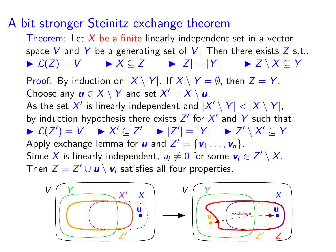#### A bit stronger Steinitz exchange theorem

Theorem: Let  $X$  be a finite linearly independent set in a vector space V and Y be a generating set of V. Then there exists  $Z$  s.t.:  $\triangleright$   $\mathcal{L}(Z) = V$   $\triangleright$   $X \subseteq Z$   $\triangleright$   $|Z| = |Y|$   $\triangleright$   $Z \setminus X \subseteq Y$ 

Proof: By induction on  $|X \setminus Y|$ . If  $X \setminus Y = \emptyset$ , then  $Z = Y$ . Choose any  $u \in X \setminus Y$  and set  $X' = X \setminus u$ .

As the set  $X'$  is linearly independent and  $|X' \setminus Y| < |X \setminus Y|,$ by induction hypothesis there exists  $Z'$  for  $X'$  and Y such that:  $\triangleright$   $\mathcal{L}(Z') = V \rightarrow X' \subseteq Z' \rightarrow |Z'| = |Y| \rightarrow Z' \setminus X' \subseteq Y$ Apply exchange lemma for **u** and  $Z' = {\bf v}_1 \dots, {\bf v}_n$ . Since X is linearly independent,  $a_i \neq 0$  for some  $\mathbf{v}_i \in \mathsf{Z}' \setminus \mathsf{X}.$ Then  $Z = Z' \cup u \setminus v_i$  satisfies all four properties.

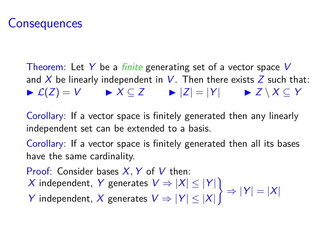# **Consequences**

Theorem: Let Y be a *finite* generating set of a vector space V and X be linearly independent in V. Then there exists  $Z$  such that:  $\triangleright$   $\mathcal{L}(Z) = V$   $\triangleright$   $X \subseteq Z$   $\triangleright$   $|Z| = |Y|$   $\triangleright$   $Z \setminus X \subseteq Y$ 

Corollary: If a vector space is finitely generated then any linearly independent set can be extended to a basis.

Corollary: If a vector space is finitely generated then all its bases have the same cardinality.

Proof: Consider bases  $X, Y$  of  $V$  then:

X independent, Y generates  $V \Rightarrow |X| \le |Y|$ )  $\Rightarrow$   $|Y| = |X|$ 

Y independent, X generates  $V \Rightarrow |Y| \le |X|$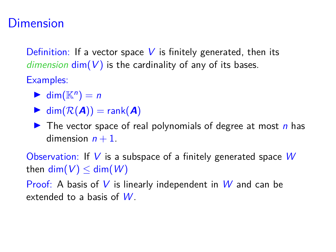# **Dimension**

Definition: If a vector space  $V$  is finitely generated, then its dimension  $\dim(V)$  is the cardinality of any of its bases.

Examples:

- $\blacktriangleright$  dim( $\mathbb{K}^n$ ) = n
- $\blacktriangleright$  dim( $\mathcal{R}(\blacktriangleleft)$ ) = rank( $\blacktriangleleft)$ )

 $\triangleright$  The vector space of real polynomials of degree at most n has dimension  $n + 1$ .

Observation: If V is a subspace of a finitely generated space  $W$ then dim( $V$ )  $\leq$  dim( $W$ )

Proof: A basis of V is linearly independent in W and can be extended to a basis of W